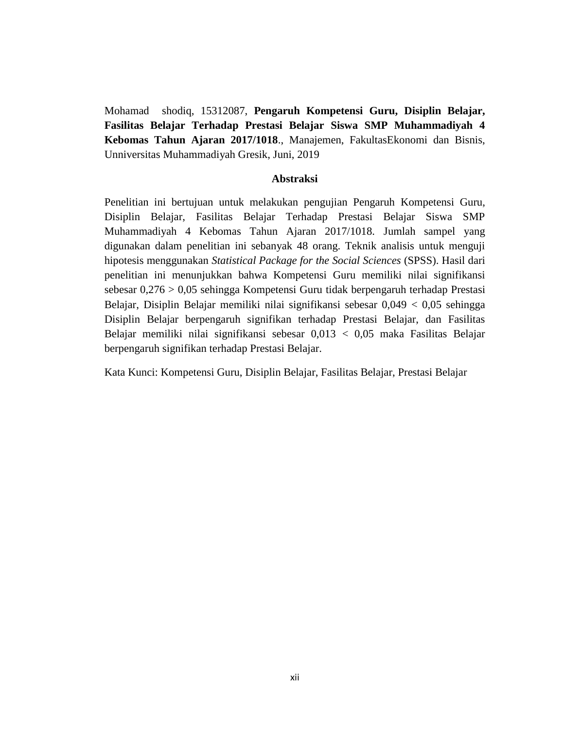Mohamad shodiq, 15312087, **Pengaruh Kompetensi Guru, Disiplin Belajar, Fasilitas Belajar Terhadap Prestasi Belajar Siswa SMP Muhammadiyah 4 Kebomas Tahun Ajaran 2017/1018**., Manajemen, FakultasEkonomi dan Bisnis, Unniversitas Muhammadiyah Gresik, Juni, 2019

## **Abstraksi**

Penelitian ini bertujuan untuk melakukan pengujian Pengaruh Kompetensi Guru, Disiplin Belajar, Fasilitas Belajar Terhadap Prestasi Belajar Siswa SMP Muhammadiyah 4 Kebomas Tahun Ajaran 2017/1018. Jumlah sampel yang digunakan dalam penelitian ini sebanyak 48 orang. Teknik analisis untuk menguji hipotesis menggunakan *Statistical Package for the Social Sciences* (SPSS). Hasil dari penelitian ini menunjukkan bahwa Kompetensi Guru memiliki nilai signifikansi sebesar 0,276 > 0,05 sehingga Kompetensi Guru tidak berpengaruh terhadap Prestasi Belajar, Disiplin Belajar memiliki nilai signifikansi sebesar 0,049 < 0,05 sehingga Disiplin Belajar berpengaruh signifikan terhadap Prestasi Belajar, dan Fasilitas Belajar memiliki nilai signifikansi sebesar 0,013 < 0,05 maka Fasilitas Belajar berpengaruh signifikan terhadap Prestasi Belajar.

Kata Kunci: Kompetensi Guru, Disiplin Belajar, Fasilitas Belajar, Prestasi Belajar